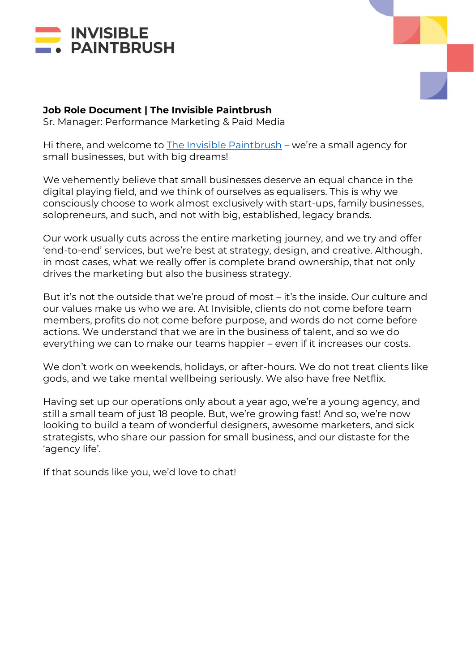



# **Job Role Document | The Invisible Paintbrush**

Sr. Manager: Performance Marketing & Paid Media

Hi there, and welcome to [The Invisible Paintbrush](http://www.theinvisiblepaintbrush.com/) – we're a small agency for small businesses, but with big dreams!

We vehemently believe that small businesses deserve an equal chance in the digital playing field, and we think of ourselves as equalisers. This is why we consciously choose to work almost exclusively with start-ups, family businesses, solopreneurs, and such, and not with big, established, legacy brands.

Our work usually cuts across the entire marketing journey, and we try and offer 'end-to-end' services, but we're best at strategy, design, and creative. Although, in most cases, what we really offer is complete brand ownership, that not only drives the marketing but also the business strategy.

But it's not the outside that we're proud of most – it's the inside. Our culture and our values make us who we are. At Invisible, clients do not come before team members, profits do not come before purpose, and words do not come before actions. We understand that we are in the business of talent, and so we do everything we can to make our teams happier – even if it increases our costs.

We don't work on weekends, holidays, or after-hours. We do not treat clients like gods, and we take mental wellbeing seriously. We also have free Netflix.

Having set up our operations only about a year ago, we're a young agency, and still a small team of just 18 people. But, we're growing fast! And so, we're now looking to build a team of wonderful designers, awesome marketers, and sick strategists, who share our passion for small business, and our distaste for the 'agency life'.

If that sounds like you, we'd love to chat!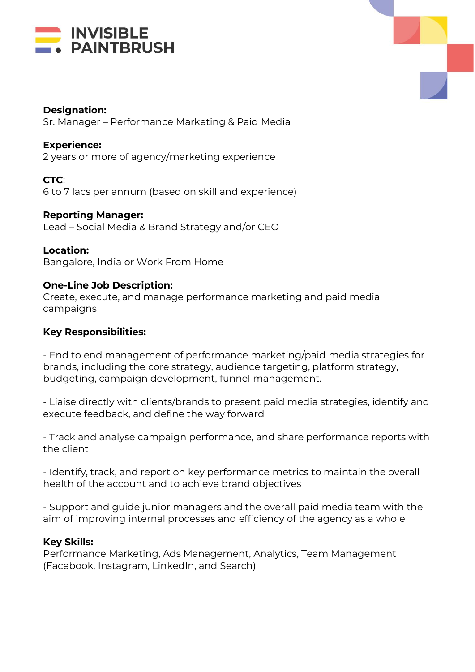



### **Designation:**

Sr. Manager – Performance Marketing & Paid Media

### **Experience:**

2 years or more of agency/marketing experience

**CTC**: 6 to 7 lacs per annum (based on skill and experience)

**Reporting Manager:** Lead – Social Media & Brand Strategy and/or CEO

### **Location:**

Bangalore, India or Work From Home

### **One-Line Job Description:**

Create, execute, and manage performance marketing and paid media campaigns

### **Key Responsibilities:**

- End to end management of performance marketing/paid media strategies for brands, including the core strategy, audience targeting, platform strategy, budgeting, campaign development, funnel management.

- Liaise directly with clients/brands to present paid media strategies, identify and execute feedback, and define the way forward

- Track and analyse campaign performance, and share performance reports with the client

- Identify, track, and report on key performance metrics to maintain the overall health of the account and to achieve brand objectives

- Support and guide junior managers and the overall paid media team with the aim of improving internal processes and efficiency of the agency as a whole

### **Key Skills:**

Performance Marketing, Ads Management, Analytics, Team Management (Facebook, Instagram, LinkedIn, and Search)